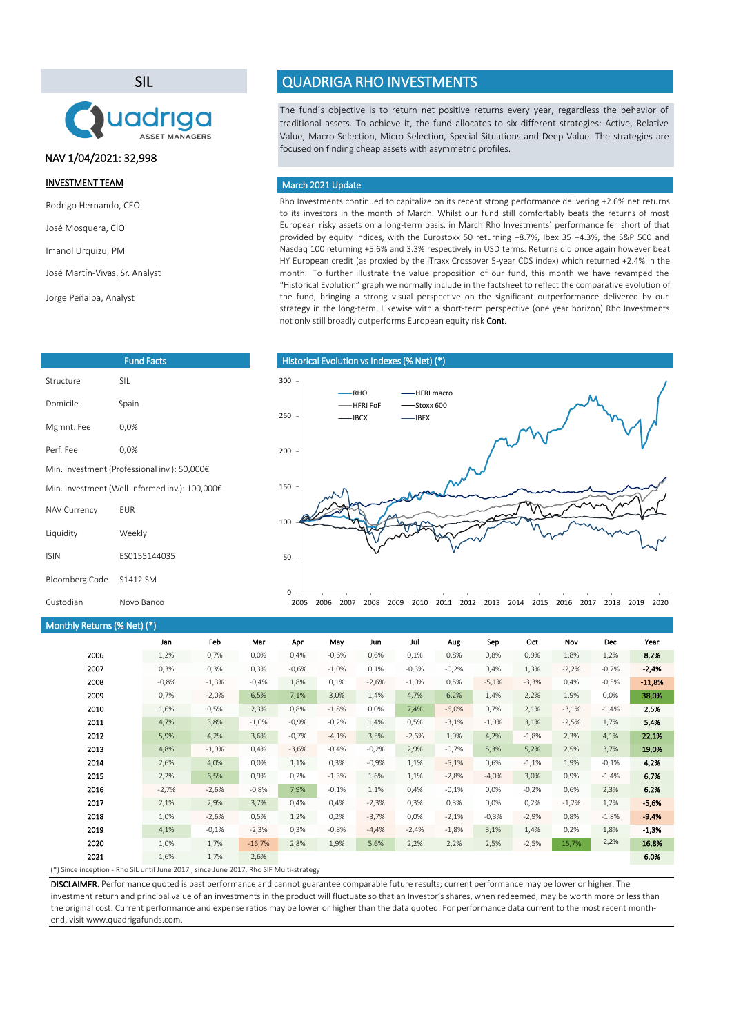SIL



### NAV 1/04/2021: 32,998

#### INVESTMENT TEAM

Rodrigo Hernando, CEO

José Mosquera, CIO

Imanol Urquizu, PM

José Martín-Vivas, Sr. Analyst

Jorge Peñalba, Analyst

| <b>Fund Facts</b>                              |              |  |  |  |  |
|------------------------------------------------|--------------|--|--|--|--|
| Structure                                      | <b>SII</b>   |  |  |  |  |
| Domicile                                       | Spain        |  |  |  |  |
| Mgmnt. Fee                                     | 0.0%         |  |  |  |  |
| Perf Fee                                       | 0.0%         |  |  |  |  |
| Min. Investment (Professional inv.): 50,000€   |              |  |  |  |  |
| Min. Investment (Well-informed inv.): 100,000€ |              |  |  |  |  |
| <b>NAV Currency</b>                            | <b>FUR</b>   |  |  |  |  |
| Liquidity                                      | Weekly       |  |  |  |  |
| <b>ISIN</b>                                    | FS0155144035 |  |  |  |  |
| Bloomberg Code                                 | S1412 SM     |  |  |  |  |
| Custodian                                      | Novo Banco   |  |  |  |  |

# Monthly Returns (% Net) (\*)

#### Jan Feb Mar Apr May Jun Jul Aug Sep Oct Nov Dec Year 1,2% 0,7% 0,0% 0,4% -0,6% 0,6% 0,1% 0,8% 0,8% 0,9% 1,8% 1,2% 8,2% 0,3% 0,3% 0,3% -0,6% -1,0% 0,1% -0,3% -0,2% 0,4% 1,3% -2,2% -0,7% -2,4% -0,8% -1,3% -0,4% 1,8% 0,1% -2,6% -1,0% 0,5% -5,1% -3,3% 0,4% -0,5% -11,8% 0,7% -2,0% 6,5% 7,1% 3,0% 1,4% 4,7% 6,2% 1,4% 2,2% 1,9% 0,0% 38,0% 1,6% 0,5% 2,3% 0,8% -1,8% 0,0% 7,4% -6,0% 0,7% 2,1% -3,1% -1,4% 2,5% 4,7% 3,8% -1,0% -0,9% -0,2% 1,4% 0,5% -3,1% -1,9% 3,1% -2,5% 1,7% 5,4% 5,9% 4,2% 3,6% -0,7% -4,1% 3,5% -2,6% 1,9% 4,2% -1,8% 2,3% 4,1% 22,1% 4,8% -1,9% 0,4% -3,6% -0,4% -0,2% 2,9% -0,7% 5,3% 5,2% 2,5% 3,7% 19,0% 2,6% 4,0% 0,0% 1,1% 0,3% -0,9% 1,1% -5,1% 0,6% -1,1% 1,9% -0,1% 4,2% 2,2% 6,5% 0,9% 0,2% -1,3% 1,6% 1,1% -2,8% -4,0% 3,0% 0,9% -1,4% 6,7% -2,7% -2,6% -0,8% 7,9% -0,1% 1,1% 0,4% -0,1% 0,0% -0,2% 0,6% 2,3% 6,2% 2,1% 2,9% 3,7% 0,4% 0,4% -2,3% 0,3% 0,3% 0,0% 0,2% -1,2% 1,2% -5,6% 1,0% -2,6% 0,5% 1,2% 0,2% -3,7% 0,0% -2,1% -0,3% -2,9% 0,8% -1,8% -9,4% 4,1% -0,1% -2,3% 0,3% -0,8% -4,4% -2,4% -1,8% 3,1% 1,4% 0,2% 1,8% -1,3% 1,0% 1,7% -16,7% 2,8% 1,9% 5,6% 2,2% 2,2% 2,5% -2,5% 15,7% 2,2% 16,8%  $1,6\%$   $1,7\%$   $2,6\%$ 2021 2019 2011 2006 2007 2008 2009 2010 2018 2012 2013 2014 2015 2016 2017 2020

(\*) Since inception - Rho SIL until June 2017 , since June 2017, Rho SIF Multi-strategy

DISCLAIMER. Performance quoted is past performance and cannot guarantee comparable future results; current performance may be lower or higher. The investment return and principal value of an investments in the product will fluctuate so that an Investor's shares, when redeemed, may be worth more or less than the original cost. Current performance and expense ratios may be lower or higher than the data quoted. For performance data current to the most recent monthend, visit www.quadrigafunds.com.

# QUADRIGA RHO INVESTMENTS

The fund´s objective is to return net positive returns every year, regardless the behavior of traditional assets. To achieve it, the fund allocates to six different strategies: Active, Relative Value, Macro Selection, Micro Selection, Special Situations and Deep Value. The strategies are focused on finding cheap assets with asymmetric profiles.

#### March 2021 Update

Rho Investments continued to capitalize on its recent strong performance delivering +2.6% net returns to its investors in the month of March. Whilst our fund still comfortably beats the returns of most European risky assets on a long-term basis, in March Rho Investments´ performance fell short of that provided by equity indices, with the Eurostoxx 50 returning +8.7%, Ibex 35 +4.3%, the S&P 500 and Nasdaq 100 returning +5.6% and 3.3% respectively in USD terms. Returns did once again however beat HY European credit (as proxied by the iTraxx Crossover 5-year CDS index) which returned +2.4% in the month. To further illustrate the value proposition of our fund, this month we have revamped the "Historical Evolution" graph we normally include in the factsheet to reflect the comparative evolution of the fund, bringing a strong visual perspective on the significant outperformance delivered by our strategy in the long-term. Likewise with a short-term perspective (one year horizon) Rho Investments not only still broadly outperforms European equity risk Cont.

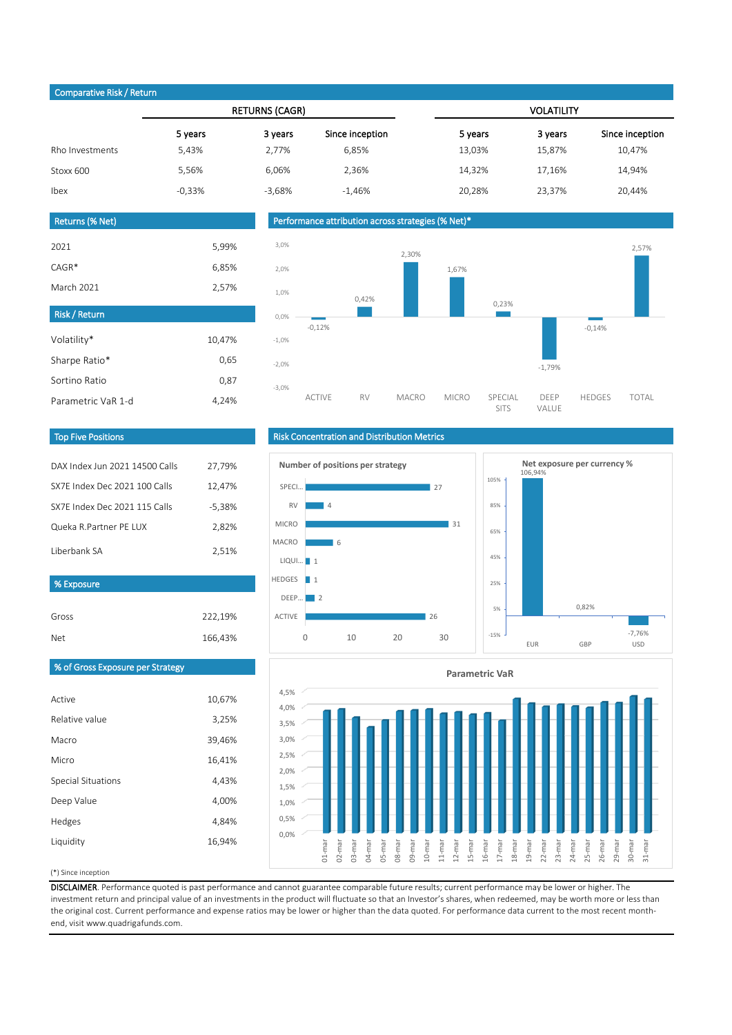### Comparative Risk / Return

|                 | <b>RETURNS (CAGR)</b> |          |                 | <b>VOLATILITY</b> |         |                 |
|-----------------|-----------------------|----------|-----------------|-------------------|---------|-----------------|
|                 | 5 years               | 3 years  | Since inception | 5 years           | 3 years | Since inception |
| Rho Investments | 5,43%                 | 2,77%    | 6,85%           | 13,03%            | 15,87%  | 10,47%          |
| Stoxx 600       | 5,56%                 | 6,06%    | 2,36%           | 14,32%            | 17,16%  | 14,94%          |
| Ibex            | $-0,33%$              | $-3,68%$ | $-1,46%$        | 20,28%            | 23,37%  | 20,44%          |
|                 |                       |          |                 |                   |         |                 |

#### Returns (% Net)

| 2021                 | 5,99%  |
|----------------------|--------|
| $CAGR*$              | 6,85%  |
| March 2021           | 2,57%  |
| <b>Risk / Return</b> |        |
| Volatility*          | 10,47% |
| Sharpe Ratio*        | 0,65   |
| Sortino Ratio        | 0.87   |

4,24%





#### Top Five Positions

Parametric VaR 1-d

| DAX Index Jun 2021 14500 Calls | 27,79%   |
|--------------------------------|----------|
| SX7E Index Dec 2021 100 Calls  | 12,47%   |
| SX7F Index Dec 2021 115 Calls  | $-5,38%$ |
| Queka R.Partner PE LUX         | 2.82%    |
| Liberbank SA                   | 2,51%    |

#### % Exposure

| Gross | 222,19% |
|-------|---------|
| Net   | 166,43% |

# Risk Concentration and Distribution Metrics







# % of Gross Exposure per Strategy

| Active             | 10,67% |
|--------------------|--------|
| Relative value     | 3,25%  |
| Macro              | 39,46% |
| Micro              | 16,41% |
| Special Situations | 4,43%  |
| Deep Value         | 4,00%  |
| Hedges             | 4,84%  |
| Liquidity          | 16,94% |
|                    |        |

#### (\*) Since inception

DISCLAIMER. Performance quoted is past performance and cannot guarantee comparable future results; current performance may be lower or higher. The investment return and principal value of an investments in the product will fluctuate so that an Investor's shares, when redeemed, may be worth more or less than the original cost. Current performance and expense ratios may be lower or higher than the data quoted. For performance data current to the most recent monthend, visit www.quadrigafunds.com.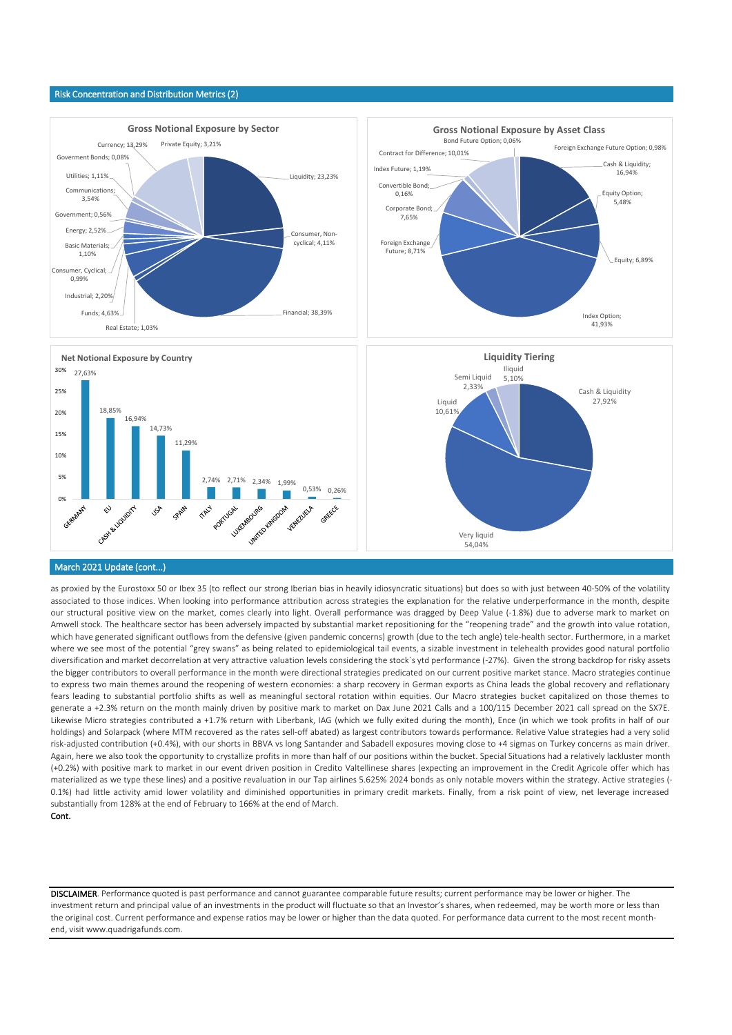#### Risk Concentration and Distribution Metrics (2)



#### March 2021 Update (cont...)

as proxied by the Eurostoxx 50 or Ibex 35 (to reflect our strong Iberian bias in heavily idiosyncratic situations) but does so with just between 40-50% of the volatility associated to those indices. When looking into performance attribution across strategies the explanation for the relative underperformance in the month, despite our structural positive view on the market, comes clearly into light. Overall performance was dragged by Deep Value (-1.8%) due to adverse mark to market on Amwell stock. The healthcare sector has been adversely impacted by substantial market repositioning for the "reopening trade" and the growth into value rotation, which have generated significant outflows from the defensive (given pandemic concerns) growth (due to the tech angle) tele-health sector. Furthermore, in a market where we see most of the potential "grey swans" as being related to epidemiological tail events, a sizable investment in telehealth provides good natural portfolio diversification and market decorrelation at very attractive valuation levels considering the stock´s ytd performance (-27%). Given the strong backdrop for risky assets the bigger contributors to overall performance in the month were directional strategies predicated on our current positive market stance. Macro strategies continue to express two main themes around the reopening of western economies: a sharp recovery in German exports as China leads the global recovery and reflationary fears leading to substantial portfolio shifts as well as meaningful sectoral rotation within equities. Our Macro strategies bucket capitalized on those themes to generate a +2.3% return on the month mainly driven by positive mark to market on Dax June 2021 Calls and a 100/115 December 2021 call spread on the SX7E. Likewise Micro strategies contributed a +1.7% return with Liberbank, IAG (which we fully exited during the month), Ence (in which we took profits in half of our holdings) and Solarpack (where MTM recovered as the rates sell-off abated) as largest contributors towards performance. Relative Value strategies had a very solid risk-adjusted contribution (+0.4%), with our shorts in BBVA vs long Santander and Sabadell exposures moving close to +4 sigmas on Turkey concerns as main driver. Again, here we also took the opportunity to crystallize profits in more than half of our positions within the bucket. Special Situations had a relatively lackluster month (+0.2%) with positive mark to market in our event driven position in Credito Valtellinese shares (expecting an improvement in the Credit Agricole offer which has materialized as we type these lines) and a positive revaluation in our Tap airlines 5.625% 2024 bonds as only notable movers within the strategy. Active strategies (- 0.1%) had little activity amid lower volatility and diminished opportunities in primary credit markets. Finally, from a risk point of view, net leverage increased substantially from 128% at the end of February to 166% at the end of March. Cont.

DISCLAIMER. Performance quoted is past performance and cannot guarantee comparable future results; current performance may be lower or higher. The investment return and principal value of an investments in the product will fluctuate so that an Investor's shares, when redeemed, may be worth more or less than the original cost. Current performance and expense ratios may be lower or higher than the data quoted. For performance data current to the most recent monthend, visit www.quadrigafunds.com.